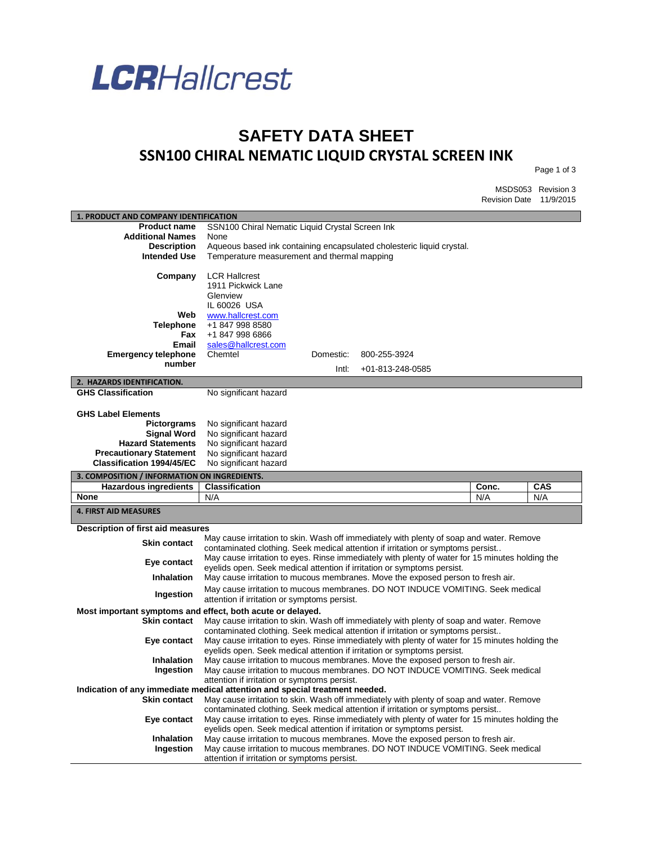

## **SAFETY DATA SHEET SSN100 CHIRAL NEMATIC LIQUID CRYSTAL SCREEN INK**

Page 1 of 3

MSDS053 Revision 3 Revision Date 11/9/2015

| 1. PRODUCT AND COMPANY IDENTIFICATION                                       |                                                                       |           |                                                                                                                                                                             |       |     |  |  |
|-----------------------------------------------------------------------------|-----------------------------------------------------------------------|-----------|-----------------------------------------------------------------------------------------------------------------------------------------------------------------------------|-------|-----|--|--|
| <b>Product name</b>                                                         |                                                                       |           |                                                                                                                                                                             |       |     |  |  |
| <b>Additional Names</b>                                                     | SSN100 Chiral Nematic Liquid Crystal Screen Ink<br>None               |           |                                                                                                                                                                             |       |     |  |  |
| <b>Description</b>                                                          | Aqueous based ink containing encapsulated cholesteric liquid crystal. |           |                                                                                                                                                                             |       |     |  |  |
| <b>Intended Use</b>                                                         | Temperature measurement and thermal mapping                           |           |                                                                                                                                                                             |       |     |  |  |
|                                                                             |                                                                       |           |                                                                                                                                                                             |       |     |  |  |
| Company                                                                     | <b>LCR Hallcrest</b>                                                  |           |                                                                                                                                                                             |       |     |  |  |
|                                                                             | 1911 Pickwick Lane                                                    |           |                                                                                                                                                                             |       |     |  |  |
|                                                                             | Glenview<br>IL 60026 USA                                              |           |                                                                                                                                                                             |       |     |  |  |
| Web                                                                         | www.hallcrest.com                                                     |           |                                                                                                                                                                             |       |     |  |  |
| <b>Telephone</b>                                                            | +1 847 998 8580                                                       |           |                                                                                                                                                                             |       |     |  |  |
| Fax                                                                         | +1 847 998 6866                                                       |           |                                                                                                                                                                             |       |     |  |  |
| Email                                                                       | sales@hallcrest.com                                                   |           |                                                                                                                                                                             |       |     |  |  |
| <b>Emergency telephone</b>                                                  | Chemtel                                                               | Domestic: | 800-255-3924                                                                                                                                                                |       |     |  |  |
| number                                                                      |                                                                       | Intl:     | +01-813-248-0585                                                                                                                                                            |       |     |  |  |
| 2. HAZARDS IDENTIFICATION.                                                  |                                                                       |           |                                                                                                                                                                             |       |     |  |  |
| <b>GHS Classification</b>                                                   | No significant hazard                                                 |           |                                                                                                                                                                             |       |     |  |  |
|                                                                             |                                                                       |           |                                                                                                                                                                             |       |     |  |  |
| <b>GHS Label Elements</b>                                                   |                                                                       |           |                                                                                                                                                                             |       |     |  |  |
| <b>Pictorgrams</b>                                                          | No significant hazard                                                 |           |                                                                                                                                                                             |       |     |  |  |
| <b>Signal Word</b>                                                          | No significant hazard                                                 |           |                                                                                                                                                                             |       |     |  |  |
| <b>Hazard Statements</b>                                                    | No significant hazard                                                 |           |                                                                                                                                                                             |       |     |  |  |
| <b>Precautionary Statement</b>                                              | No significant hazard                                                 |           |                                                                                                                                                                             |       |     |  |  |
| <b>Classification 1994/45/EC</b>                                            | No significant hazard                                                 |           |                                                                                                                                                                             |       |     |  |  |
|                                                                             | 3. COMPOSITION / INFORMATION ON INGREDIENTS.                          |           |                                                                                                                                                                             |       |     |  |  |
|                                                                             |                                                                       |           |                                                                                                                                                                             |       |     |  |  |
| <b>Hazardous ingredients</b>                                                | <b>Classification</b>                                                 |           |                                                                                                                                                                             | Conc. | CAS |  |  |
| None                                                                        | N/A                                                                   |           |                                                                                                                                                                             | N/A   | N/A |  |  |
| <b>4. FIRST AID MEASURES</b>                                                |                                                                       |           |                                                                                                                                                                             |       |     |  |  |
|                                                                             |                                                                       |           |                                                                                                                                                                             |       |     |  |  |
| Description of first aid measures                                           |                                                                       |           |                                                                                                                                                                             |       |     |  |  |
| <b>Skin contact</b>                                                         |                                                                       |           | May cause irritation to skin. Wash off immediately with plenty of soap and water. Remove<br>contaminated clothing. Seek medical attention if irritation or symptoms persist |       |     |  |  |
|                                                                             |                                                                       |           | May cause irritation to eyes. Rinse immediately with plenty of water for 15 minutes holding the                                                                             |       |     |  |  |
| Eye contact                                                                 |                                                                       |           | eyelids open. Seek medical attention if irritation or symptoms persist.                                                                                                     |       |     |  |  |
| <b>Inhalation</b>                                                           |                                                                       |           | May cause irritation to mucous membranes. Move the exposed person to fresh air.                                                                                             |       |     |  |  |
|                                                                             |                                                                       |           | May cause irritation to mucous membranes. DO NOT INDUCE VOMITING. Seek medical                                                                                              |       |     |  |  |
| Ingestion                                                                   | attention if irritation or symptoms persist.                          |           |                                                                                                                                                                             |       |     |  |  |
| Most important symptoms and effect, both acute or delayed.                  |                                                                       |           |                                                                                                                                                                             |       |     |  |  |
| <b>Skin contact</b>                                                         |                                                                       |           | May cause irritation to skin. Wash off immediately with plenty of soap and water. Remove                                                                                    |       |     |  |  |
|                                                                             |                                                                       |           | contaminated clothing. Seek medical attention if irritation or symptoms persist                                                                                             |       |     |  |  |
| Eye contact                                                                 |                                                                       |           | May cause irritation to eyes. Rinse immediately with plenty of water for 15 minutes holding the                                                                             |       |     |  |  |
|                                                                             |                                                                       |           | eyelids open. Seek medical attention if irritation or symptoms persist.                                                                                                     |       |     |  |  |
| Inhalation                                                                  |                                                                       |           | May cause irritation to mucous membranes. Move the exposed person to fresh air.                                                                                             |       |     |  |  |
| Ingestion                                                                   | attention if irritation or symptoms persist.                          |           | May cause irritation to mucous membranes. DO NOT INDUCE VOMITING. Seek medical                                                                                              |       |     |  |  |
| Indication of any immediate medical attention and special treatment needed. |                                                                       |           |                                                                                                                                                                             |       |     |  |  |
| <b>Skin contact</b>                                                         |                                                                       |           | May cause irritation to skin. Wash off immediately with plenty of soap and water. Remove                                                                                    |       |     |  |  |
|                                                                             |                                                                       |           | contaminated clothing. Seek medical attention if irritation or symptoms persist                                                                                             |       |     |  |  |
| Eye contact                                                                 |                                                                       |           | May cause irritation to eyes. Rinse immediately with plenty of water for 15 minutes holding the                                                                             |       |     |  |  |
|                                                                             |                                                                       |           | eyelids open. Seek medical attention if irritation or symptoms persist.                                                                                                     |       |     |  |  |
| <b>Inhalation</b>                                                           |                                                                       |           | May cause irritation to mucous membranes. Move the exposed person to fresh air.                                                                                             |       |     |  |  |
| Ingestion                                                                   | attention if irritation or symptoms persist.                          |           | May cause irritation to mucous membranes. DO NOT INDUCE VOMITING. Seek medical                                                                                              |       |     |  |  |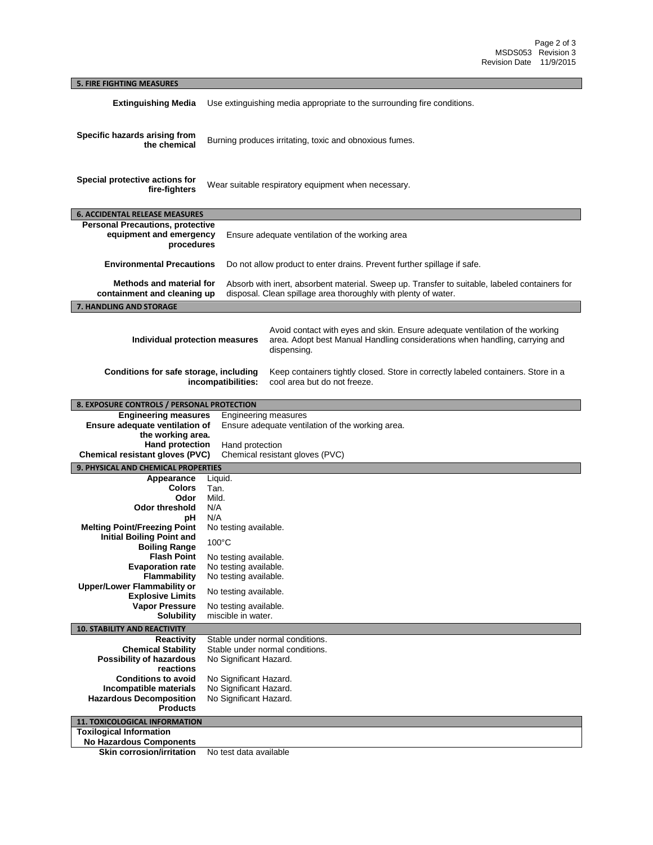## **5. FIRE FIGHTING MEASURES Extinguishing Media** Use extinguishing media appropriate to the surrounding fire conditions. **Specific hazards arising from the chemical** Burning produces irritating, toxic and obnoxious fumes. **Special protective actions for fire-fighters** Wear suitable respiratory equipment when necessary. **6. ACCIDENTAL RELEASE MEASURES Personal Precautions, protective equipment and emergency procedures** Ensure adequate ventilation of the working area **Environmental Precautions** Do not allow product to enter drains. Prevent further spillage if safe. **Methods and material for containment and cleaning up** Absorb with inert, absorbent material. Sweep up. Transfer to suitable, labeled containers for disposal. Clean spillage area thoroughly with plenty of water. **7. HANDLING AND STORAGE Individual protection measures** Avoid contact with eyes and skin. Ensure adequate ventilation of the working area. Adopt best Manual Handling considerations when handling, carrying and dispensing. **Conditions for safe storage, including incompatibilities:** Keep containers tightly closed. Store in correctly labeled containers. Store in a cool area but do not freeze. **8. EXPOSURE CONTROLS / PERSONAL PROTECTION Engineering measures** Engineering measures **Ensure adequate ventilation of the working area.**  Ensure adequate ventilation of the working area. **Hand protection** Hand protection **Chemical resistant gloves (PVC)** Chemical resistant gloves (PVC) **9. PHYSICAL AND CHEMICAL PROPERTIES Appearance** Liquid. **Colors** Tan. **Odor Odor threshold** N/A **pH** N/A **Melting Point/Freezing Point** No testing available. **Initial Boiling Point and Boiling Range** 100°C **Flash Point** No testing available. **Evaporation rate** No testing available. **Flammability** No testing available. **Upper/Lower Flammability or Explosive Limits** No testing available.<br> **Vapor Pressure** No testing available. **Pressure** No testing available.<br>**Solubility** miscible in water. miscible in water. **10. STABILITY AND REACTIVITY Reactivity** Stable under normal conditions.<br>**Chemical Stability** Stable under normal conditions. Stable under normal conditions. **Possibility of hazardous reactions** No Significant Hazard. **Conditions to avoid** No Significant Hazard.<br>**Incompatible materials** No Significant Hazard. **No Significant Hazard. Hazardous Decomposition Products** No Significant Hazard. **11. TOXICOLOGICAL INFORMATION Toxilogical Information No Hazardous Components**

**Skin corrosion/irritation** No test data available